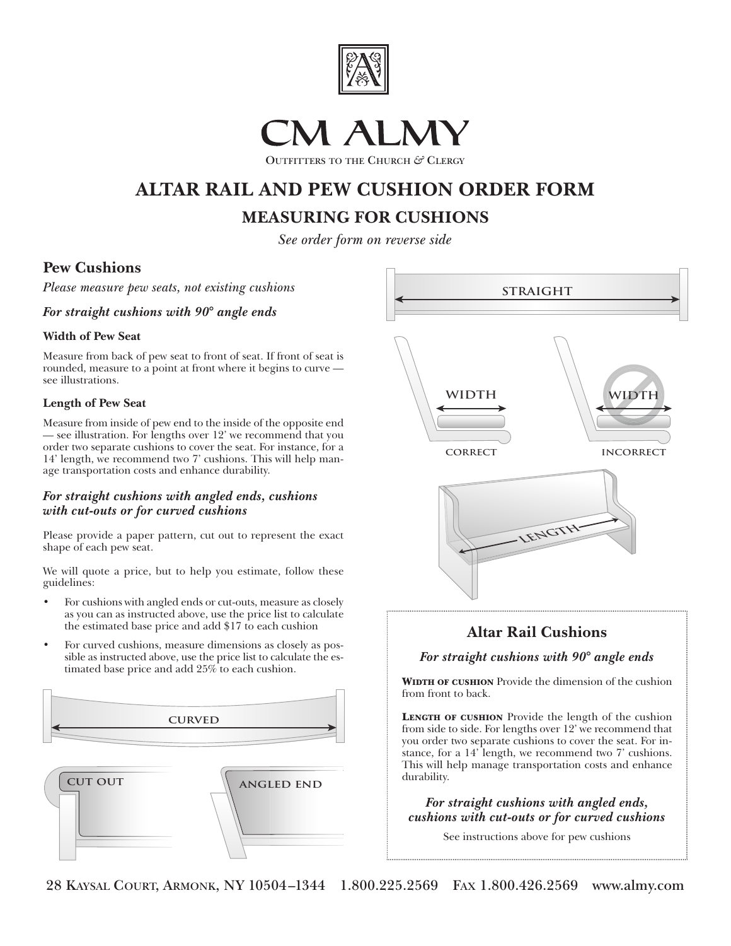

# CM ALMY

**OUTFITTERS TO THE CHURCH** *&* **CLERGY**

## **ALTAR RAIL AND PEW CUSHION ORDER FORM**

### **MEASURING FOR CUSHIONS**

*See order form on reverse side*

#### **Pew Cushions**

*Please measure pew seats, not existing cushions*

*For straight cushions with 90° angle ends*

#### **Width of Pew Seat**

Measure from back of pew seat to front of seat. If front of seat is rounded, measure to a point at front where it begins to curve see illustrations.

#### **Length of Pew Seat**

Measure from inside of pew end to the inside of the opposite end — see illustration. For lengths over 12' we recommend that you order two separate cushions to cover the seat. For instance, for a 14' length, we recommend two 7' cushions. This will help manage transportation costs and enhance durability.

#### *For straight cushions with angled ends, cushions with cut-outs or for curved cushions*

Please provide a paper pattern, cut out to represent the exact shape of each pew seat.

We will quote a price, but to help you estimate, follow these guidelines:

- For cushions with angled ends or cut-outs, measure as closely as you can as instructed above, use the price list to calculate the estimated base price and add \$17 to each cushion
- For curved cushions, measure dimensions as closely as possible as instructed above, use the price list to calculate the estimated base price and add 25% to each cushion.





*For straight cushions with angled ends, cushions with cut-outs or for curved cushions*

See instructions above for pew cushions

**28 KAYSAL COURT, ARMONK, NY 10504–1344 1.800.225.2569 FAX 1.800.426.2569 www.almy.com**